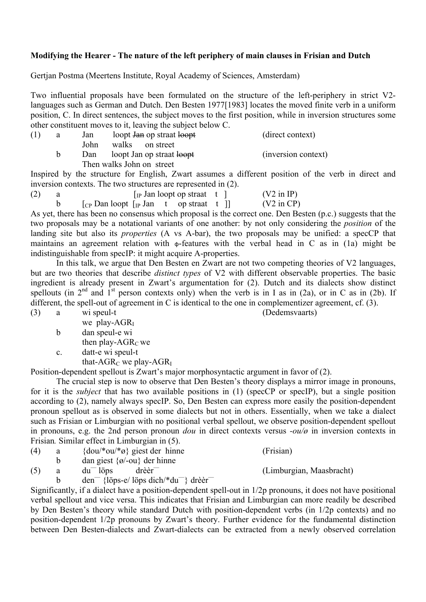## **Modifying the Hearer - The nature of the left periphery of main clauses in Frisian and Dutch**

Gertjan Postma (Meertens Institute, Royal Academy of Sciences, Amsterdam)

Two influential proposals have been formulated on the structure of the left-periphery in strict V2 languages such as German and Dutch. Den Besten 1977[1983] locates the moved finite verb in a uniform position, C. In direct sentences, the subject moves to the first position, while in inversion structures some other constituent moves to it, leaving the subject below C.

|  | a | Jan                       | loopt <del>Jan</del> op straat loopt | (direct context)    |
|--|---|---------------------------|--------------------------------------|---------------------|
|  |   | John                      | walks on street                      |                     |
|  |   |                           | Dan loopt Jan op straat loopt        | (inversion context) |
|  |   | Then walks John on street |                                      |                     |

Inspired by the structure for English, Zwart assumes a different position of the verb in direct and inversion contexts. The two structures are represented in (2).

(2) a  $\left[\begin{array}{ccc} \text{I}_{\text{IP}} \text{ Jan loopt on straat} & \text{I} \end{array}\right]$  (V2 in IP) b  $\lceil_{CP}$  Dan loopt  $\lceil_{IP}$  Jan t op straat t  $\rceil$  (V2 in CP)

As yet, there has been no consensus which proposal is the correct one. Den Besten (p.c.) suggests that the two proposals may be a notational variants of one another: by not only considering the *position* of the landing site but also its *properties* (A vs A-bar), the two proposals may be unified: a specCP that maintains an agreement relation with φ-features with the verbal head in C as in (1a) might be indistinguishable from specIP: it might acquire A-properties.

In this talk, we argue that Den Besten en Zwart are not two competing theories of V2 languages, but are two theories that describe *distinct types* of V2 with different observable properties. The basic ingredient is already present in Zwart's argumentation for (2). Dutch and its dialects show distinct spellouts (in  $2<sup>nd</sup>$  and  $1<sup>st</sup>$  person contexts only) when the verb is in I as in (2a), or in C as in (2b). If different, the spell-out of agreement in C is identical to the one in complementizer agreement, cf. (3). (3) a wi speul-t (Dedemsvaarts)

we play- $AGR<sub>I</sub>$ b dan speul-e wi

then play- $AGR<sub>C</sub>$  we

c. datt-e wi speul-t

that-AGR<sub>C</sub> we play-AGR<sub>I</sub>

Position-dependent spellout is Zwart's major morphosyntactic argument in favor of (2).

The crucial step is now to observe that Den Besten's theory displays a mirror image in pronouns, for it is the *subject* that has two available positions in (1) (specCP or specIP), but a single position according to (2), namely always specIP. So, Den Besten can express more easily the position-dependent pronoun spellout as is observed in some dialects but not in others. Essentially, when we take a dialect such as Frisian or Limburgian with no positional verbal spellout, we observe position-dependent spellout in pronouns, e.g. the 2nd person pronoun *dou* in direct contexts versus *-ou/ø* in inversion contexts in Frisian*.* Similar effect in Limburgian in (5).

| (4) | $\{\text{dou} \times \text{ou} \times \text{ou} \}$ giest der hinne | (Frisian)                |  |
|-----|---------------------------------------------------------------------|--------------------------|--|
|     | dan giest $\{\emptyset$ /-ou} der hinne                             |                          |  |
| (5) | $dr$ èèr<br>$du$ <sup>--</sup> löps                                 | (Limburgian, Maasbracht) |  |

b den<sup>—</sup> {löps-e/ löps dich/\*du<sup>—</sup>} drèèr<sup>-</sup>

Significantly, if a dialect have a position-dependent spell-out in 1/2p pronouns, it does not have positional verbal spellout and vice versa. This indicates that Frisian and Limburgian can more readily be described by Den Besten's theory while standard Dutch with position-dependent verbs (in 1/2p contexts) and no position-dependent 1/2p pronouns by Zwart's theory. Further evidence for the fundamental distinction between Den Besten-dialects and Zwart-dialects can be extracted from a newly observed correlation